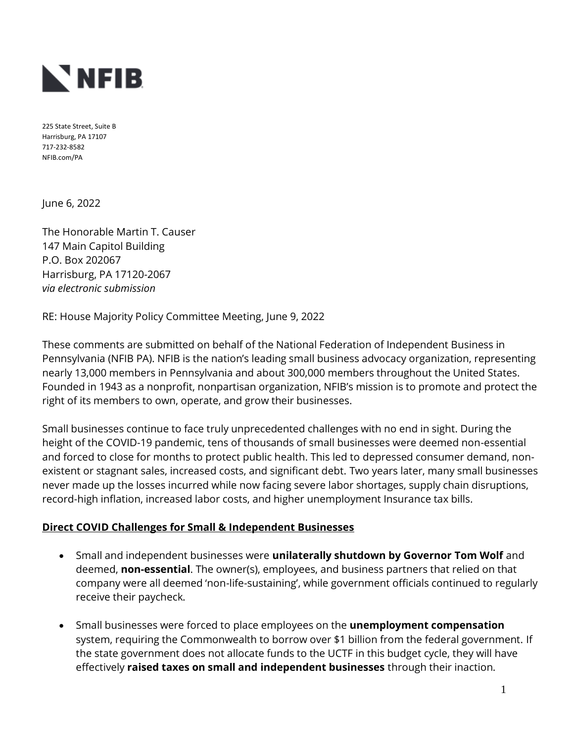

225 State Street, Suite B Harrisburg, PA 17107 717-232-8582 NFIB.com/PA

June 6, 2022

The Honorable Martin T. Causer 147 Main Capitol Building P.O. Box 202067 Harrisburg, PA 17120-2067 *via electronic submission*

RE: House Majority Policy Committee Meeting, June 9, 2022

These comments are submitted on behalf of the National Federation of Independent Business in Pennsylvania (NFIB PA). NFIB is the nation's leading small business advocacy organization, representing nearly 13,000 members in Pennsylvania and about 300,000 members throughout the United States. Founded in 1943 as a nonprofit, nonpartisan organization, NFIB's mission is to promote and protect the right of its members to own, operate, and grow their businesses.

Small businesses continue to face truly unprecedented challenges with no end in sight. During the height of the COVID-19 pandemic, tens of thousands of small businesses were deemed non-essential and forced to close for months to protect public health. This led to depressed consumer demand, nonexistent or stagnant sales, increased costs, and significant debt. Two years later, many small businesses never made up the losses incurred while now facing severe labor shortages, supply chain disruptions, record-high inflation, increased labor costs, and higher unemployment Insurance tax bills.

#### **Direct COVID Challenges for Small & Independent Businesses**

- Small and independent businesses were **unilaterally shutdown by Governor Tom Wolf** and deemed, **non-essential**. The owner(s), employees, and business partners that relied on that company were all deemed 'non-life-sustaining', while government officials continued to regularly receive their paycheck.
- Small businesses were forced to place employees on the **unemployment compensation** system, requiring the Commonwealth to borrow over \$1 billion from the federal government. If the state government does not allocate funds to the UCTF in this budget cycle, they will have effectively **raised taxes on small and independent businesses** through their inaction.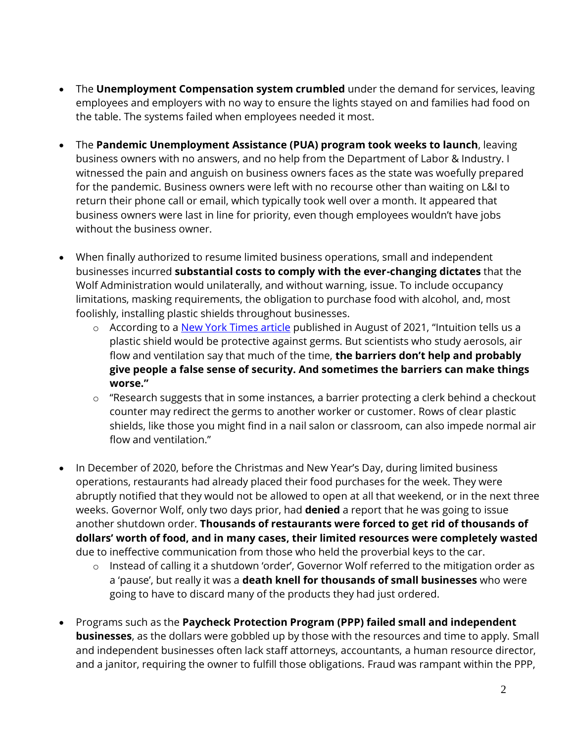- The **Unemployment Compensation system crumbled** under the demand for services, leaving employees and employers with no way to ensure the lights stayed on and families had food on the table. The systems failed when employees needed it most.
- The **Pandemic Unemployment Assistance (PUA) program took weeks to launch**, leaving business owners with no answers, and no help from the Department of Labor & Industry. I witnessed the pain and anguish on business owners faces as the state was woefully prepared for the pandemic. Business owners were left with no recourse other than waiting on L&I to return their phone call or email, which typically took well over a month. It appeared that business owners were last in line for priority, even though employees wouldn't have jobs without the business owner.
- When finally authorized to resume limited business operations, small and independent businesses incurred **substantial costs to comply with the ever-changing dictates** that the Wolf Administration would unilaterally, and without warning, issue. To include occupancy limitations, masking requirements, the obligation to purchase food with alcohol, and, most foolishly, installing plastic shields throughout businesses.
	- o According to a [New York Times article](https://www.nytimes.com/2021/08/19/well/live/coronavirus-restaurants-classrooms-salons.html) published in August of 2021, "Intuition tells us a plastic shield would be protective against germs. But scientists who study aerosols, air flow and ventilation say that much of the time, **the barriers don't help and probably give people a false sense of security. And sometimes the barriers can make things worse."**
	- o "Research suggests that in some instances, a barrier protecting a clerk behind a checkout counter may redirect the germs to another worker or customer. Rows of clear plastic shields, like those you might find in a nail salon or classroom, can also impede normal air flow and ventilation."
- In December of 2020, before the Christmas and New Year's Day, during limited business operations, restaurants had already placed their food purchases for the week. They were abruptly notified that they would not be allowed to open at all that weekend, or in the next three weeks. Governor Wolf, only two days prior, had **denied** a report that he was going to issue another shutdown order. **Thousands of restaurants were forced to get rid of thousands of dollars' worth of food, and in many cases, their limited resources were completely wasted** due to ineffective communication from those who held the proverbial keys to the car.
	- o Instead of calling it a shutdown 'order', Governor Wolf referred to the mitigation order as a 'pause', but really it was a **death knell for thousands of small businesses** who were going to have to discard many of the products they had just ordered.
- Programs such as the **Paycheck Protection Program (PPP) failed small and independent businesses**, as the dollars were gobbled up by those with the resources and time to apply. Small and independent businesses often lack staff attorneys, accountants, a human resource director, and a janitor, requiring the owner to fulfill those obligations. Fraud was rampant within the PPP,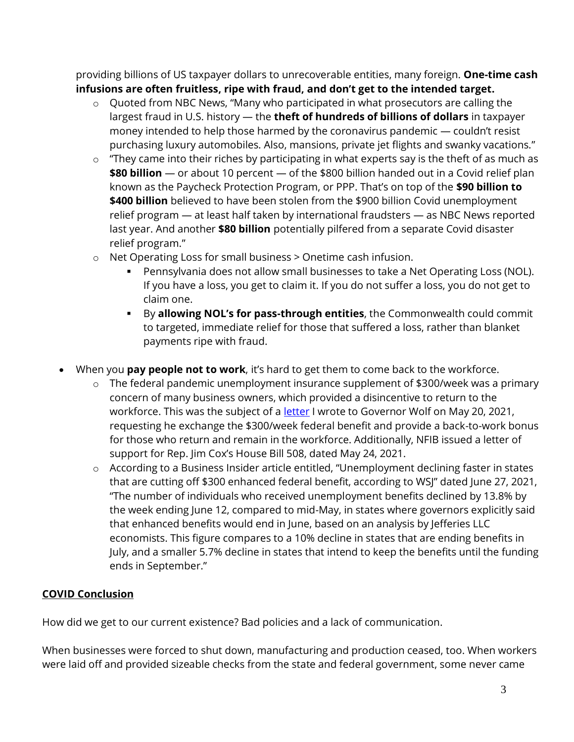providing billions of US taxpayer dollars to unrecoverable entities, many foreign. **One-time cash infusions are often fruitless, ripe with fraud, and don't get to the intended target.**

- o Quoted from NBC News, "Many who participated in what prosecutors are calling the largest fraud in U.S. history — the **theft of hundreds of billions of dollars** in taxpayer money intended to help those harmed by the coronavirus pandemic — couldn't resist purchasing luxury automobiles. Also, mansions, private jet flights and swanky vacations."
- o "They came into their riches by participating in what experts say is the theft of as much as **\$80 billion** — or about 10 percent — of the \$800 billion handed out in a Covid relief plan known as the Paycheck Protection Program, or PPP. That's on top of the **\$90 billion to \$400 billion** believed to have been stolen from the \$900 billion Covid unemployment relief program — at least half taken by international fraudsters — as NBC News reported last year. And another **\$80 billion** potentially pilfered from a separate Covid disaster relief program."
- o Net Operating Loss for small business > Onetime cash infusion.
	- Pennsylvania does not allow small businesses to take a Net Operating Loss (NOL). If you have a loss, you get to claim it. If you do not suffer a loss, you do not get to claim one.
	- By **allowing NOL's for pass-through entities**, the Commonwealth could commit to targeted, immediate relief for those that suffered a loss, rather than blanket payments ripe with fraud.
- When you **pay people not to work**, it's hard to get them to come back to the workforce.
	- o The federal pandemic unemployment insurance supplement of \$300/week was a primary concern of many business owners, which provided a disincentive to return to the workforce. This was the subject of a **letter** I wrote to Governor Wolf on May 20, 2021, requesting he exchange the \$300/week federal benefit and provide a back-to-work bonus for those who return and remain in the workforce. Additionally, NFIB issued a letter of support for Rep. Jim Cox's House Bill 508, dated May 24, 2021.
	- o According to a Business Insider article entitled, "Unemployment declining faster in states that are cutting off \$300 enhanced federal benefit, according to WSJ" dated June 27, 2021, "The number of individuals who received unemployment benefits declined by 13.8% by the week ending June 12, compared to mid-May, in states where governors explicitly said that enhanced benefits would end in June, based on an analysis by Jefferies LLC economists. This figure compares to a 10% decline in states that are ending benefits in July, and a smaller 5.7% decline in states that intend to keep the benefits until the funding ends in September."

# **COVID Conclusion**

How did we get to our current existence? Bad policies and a lack of communication.

When businesses were forced to shut down, manufacturing and production ceased, too. When workers were laid off and provided sizeable checks from the state and federal government, some never came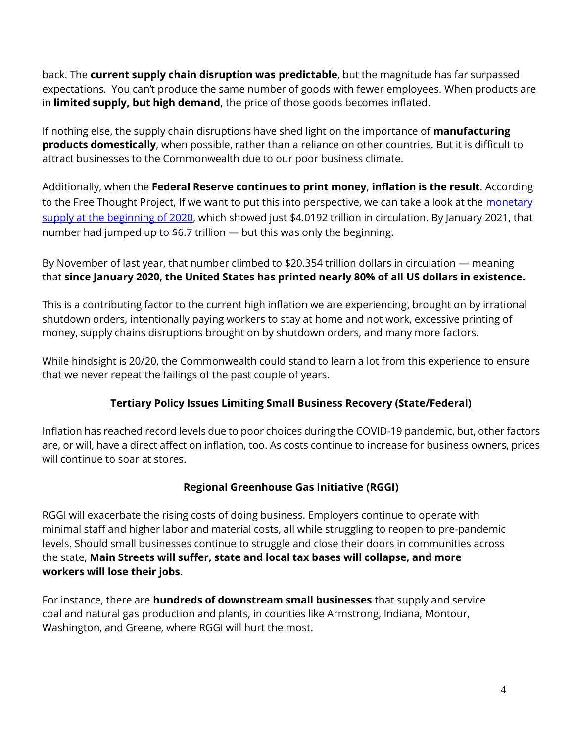back. The **current supply chain disruption was predictable**, but the magnitude has far surpassed expectations. You can't produce the same number of goods with fewer employees. When products are in **limited supply, but high demand**, the price of those goods becomes inflated.

If nothing else, the supply chain disruptions have shed light on the importance of **manufacturing products domestically**, when possible, rather than a reliance on other countries. But it is difficult to attract businesses to the Commonwealth due to our poor business climate.

Additionally, when the **Federal Reserve continues to print money**, **inflation is the result**. According to the Free Thought Project, If we want to put this into perspective, we can take a look at the [monetary](https://fred.stlouisfed.org/series/M1SL)  [supply at the beginning of 2020,](https://fred.stlouisfed.org/series/M1SL) which showed just \$4.0192 trillion in circulation. By January 2021, that number had jumped up to \$6.7 trillion — but this was only the beginning.

By November of last year, that number climbed to \$20.354 trillion dollars in circulation — meaning that **since January 2020, the United States has printed nearly 80% of all US dollars in existence.**

This is a contributing factor to the current high inflation we are experiencing, brought on by irrational shutdown orders, intentionally paying workers to stay at home and not work, excessive printing of money, supply chains disruptions brought on by shutdown orders, and many more factors.

While hindsight is 20/20, the Commonwealth could stand to learn a lot from this experience to ensure that we never repeat the failings of the past couple of years.

# **Tertiary Policy Issues Limiting Small Business Recovery (State/Federal)**

Inflation has reached record levels due to poor choices during the COVID-19 pandemic, but, other factors are, or will, have a direct affect on inflation, too. As costs continue to increase for business owners, prices will continue to soar at stores.

#### **Regional Greenhouse Gas Initiative (RGGI)**

RGGI will exacerbate the rising costs of doing business. Employers continue to operate with minimal staff and higher labor and material costs, all while struggling to reopen to pre-pandemic levels. Should small businesses continue to struggle and close their doors in communities across the state, **Main Streets will suffer, state and local tax bases will collapse, and more workers will lose their jobs**.

For instance, there are **hundreds of downstream small businesses** that supply and service coal and natural gas production and plants, in counties like Armstrong, Indiana, Montour, Washington, and Greene, where RGGI will hurt the most.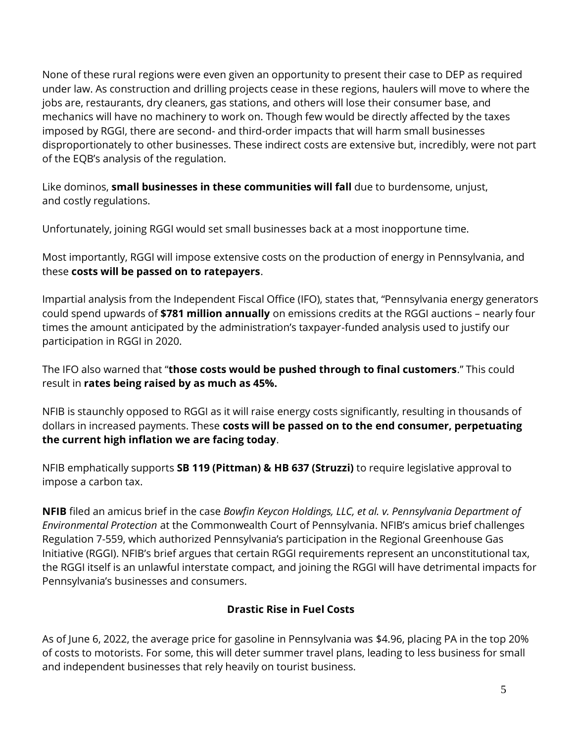None of these rural regions were even given an opportunity to present their case to DEP as required under law. As construction and drilling projects cease in these regions, haulers will move to where the jobs are, restaurants, dry cleaners, gas stations, and others will lose their consumer base, and mechanics will have no machinery to work on. Though few would be directly affected by the taxes imposed by RGGI, there are second- and third-order impacts that will harm small businesses disproportionately to other businesses. These indirect costs are extensive but, incredibly, were not part of the EQB's analysis of the regulation.

Like dominos, **small businesses in these communities will fall** due to burdensome, unjust, and costly regulations.

Unfortunately, joining RGGI would set small businesses back at a most inopportune time.

Most importantly, RGGI will impose extensive costs on the production of energy in Pennsylvania, and these **costs will be passed on to ratepayers**.

Impartial analysis from the Independent Fiscal Office (IFO), states that, "Pennsylvania energy generators could spend upwards of **\$781 million annually** on emissions credits at the RGGI auctions – nearly four times the amount anticipated by the administration's taxpayer-funded analysis used to justify our participation in RGGI in 2020.

The IFO also warned that "**those costs would be pushed through to final customers**." This could result in **rates being raised by as much as 45%.**

NFIB is staunchly opposed to RGGI as it will raise energy costs significantly, resulting in thousands of dollars in increased payments. These **costs will be passed on to the end consumer, perpetuating the current high inflation we are facing today**.

NFIB emphatically supports **SB 119 (Pittman) & HB 637 (Struzzi)** to require legislative approval to impose a carbon tax.

**NFIB** filed an amicus brief in the case *Bowfin Keycon Holdings, LLC, et al. v. Pennsylvania Department of Environmental Protection* at the Commonwealth Court of Pennsylvania. NFIB's amicus brief challenges Regulation 7-559, which authorized Pennsylvania's participation in the Regional Greenhouse Gas Initiative (RGGI). NFIB's brief argues that certain RGGI requirements represent an unconstitutional tax, the RGGI itself is an unlawful interstate compact, and joining the RGGI will have detrimental impacts for Pennsylvania's businesses and consumers.

# **Drastic Rise in Fuel Costs**

As of June 6, 2022, the average price for gasoline in Pennsylvania was \$4.96, placing PA in the top 20% of costs to motorists. For some, this will deter summer travel plans, leading to less business for small and independent businesses that rely heavily on tourist business.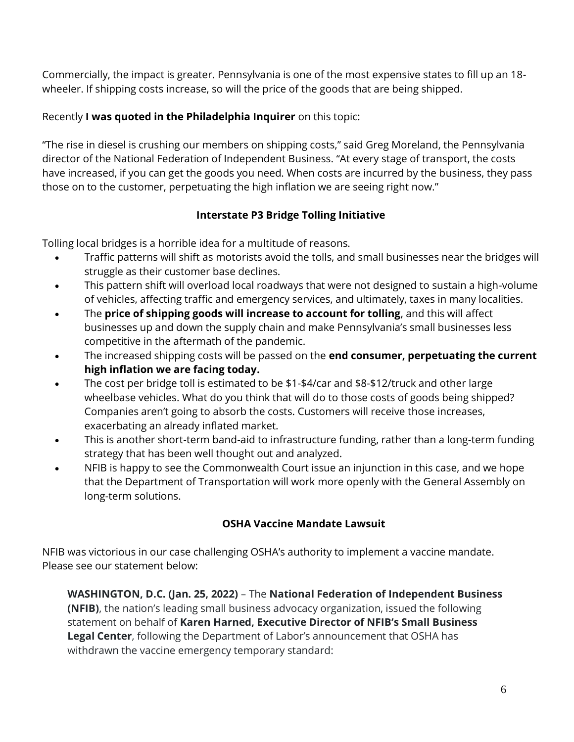Commercially, the impact is greater. Pennsylvania is one of the most expensive states to fill up an 18 wheeler. If shipping costs increase, so will the price of the goods that are being shipped.

# Recently **I was quoted in the Philadelphia Inquirer** on this topic:

"The rise in diesel is crushing our members on shipping costs," said Greg Moreland, the Pennsylvania director of the National Federation of Independent Business. "At every stage of transport, the costs have increased, if you can get the goods you need. When costs are incurred by the business, they pass those on to the customer, perpetuating the high inflation we are seeing right now."

# **Interstate P3 Bridge Tolling Initiative**

Tolling local bridges is a horrible idea for a multitude of reasons.

- Traffic patterns will shift as motorists avoid the tolls, and small businesses near the bridges will struggle as their customer base declines.
- This pattern shift will overload local roadways that were not designed to sustain a high-volume of vehicles, affecting traffic and emergency services, and ultimately, taxes in many localities.
- The **price of shipping goods will increase to account for tolling**, and this will affect businesses up and down the supply chain and make Pennsylvania's small businesses less competitive in the aftermath of the pandemic.
- The increased shipping costs will be passed on the **end consumer, perpetuating the current high inflation we are facing today.**
- The cost per bridge toll is estimated to be \$1-\$4/car and \$8-\$12/truck and other large wheelbase vehicles. What do you think that will do to those costs of goods being shipped? Companies aren't going to absorb the costs. Customers will receive those increases, exacerbating an already inflated market.
- This is another short-term band-aid to infrastructure funding, rather than a long-term funding strategy that has been well thought out and analyzed.
- NFIB is happy to see the Commonwealth Court issue an injunction in this case, and we hope that the Department of Transportation will work more openly with the General Assembly on long-term solutions.

# **OSHA Vaccine Mandate Lawsuit**

NFIB was victorious in our case challenging OSHA's authority to implement a vaccine mandate. Please see our statement below:

**WASHINGTON, D.C. (Jan. 25, 2022)** – The **National Federation of Independent Business (NFIB)**, the nation's leading small business advocacy organization, issued the following statement on behalf of **Karen Harned, Executive Director of NFIB's Small Business Legal Center**, following the Department of Labor's announcement that OSHA has withdrawn the vaccine emergency temporary standard: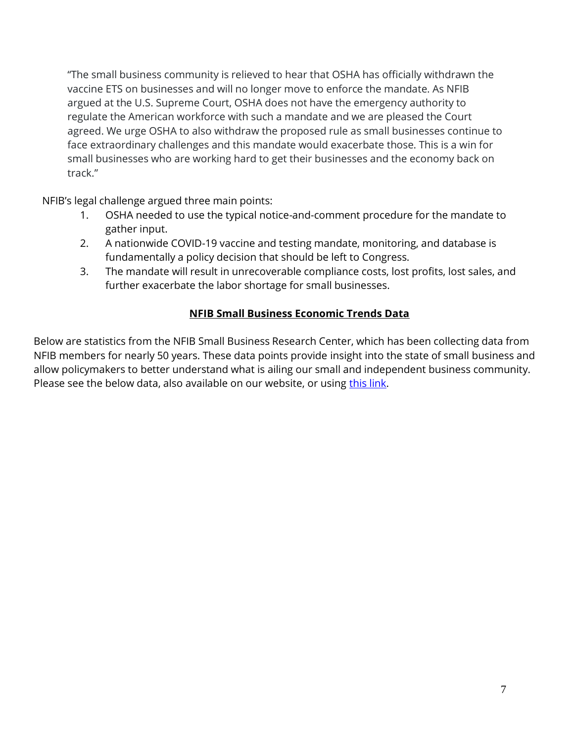"The small business community is relieved to hear that OSHA has officially withdrawn the vaccine ETS on businesses and will no longer move to enforce the mandate. As NFIB argued at the U.S. Supreme Court, OSHA does not have the emergency authority to regulate the American workforce with such a mandate and we are pleased the Court agreed. We urge OSHA to also withdraw the proposed rule as small businesses continue to face extraordinary challenges and this mandate would exacerbate those. This is a win for small businesses who are working hard to get their businesses and the economy back on track."

NFIB's legal challenge argued three main points:

- 1. OSHA needed to use the typical notice-and-comment procedure for the mandate to gather input.
- 2. A nationwide COVID-19 vaccine and testing mandate, monitoring, and database is fundamentally a policy decision that should be left to Congress.
- 3. The mandate will result in unrecoverable compliance costs, lost profits, lost sales, and further exacerbate the labor shortage for small businesses.

# **NFIB Small Business Economic Trends Data**

Below are statistics from the NFIB Small Business Research Center, which has been collecting data from NFIB members for nearly 50 years. These data points provide insight into the state of small business and allow policymakers to better understand what is ailing our small and independent business community. Please see the below data, also available on our website, or using [this link.](https://www.nfib.com/surveys/small-business-economic-trends/)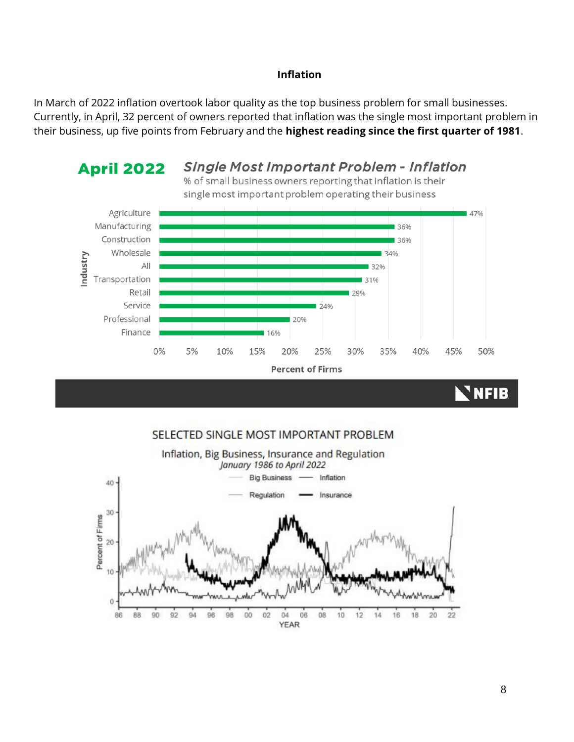#### **Inflation**

In March of 2022 inflation overtook labor quality as the top business problem for small businesses. Currently, in April, 32 percent of owners reported that inflation was the single most important problem in their business, up five points from February and the **highest reading since the first quarter of 1981**.



#### SELECTED SINGLE MOST IMPORTANT PROBLEM

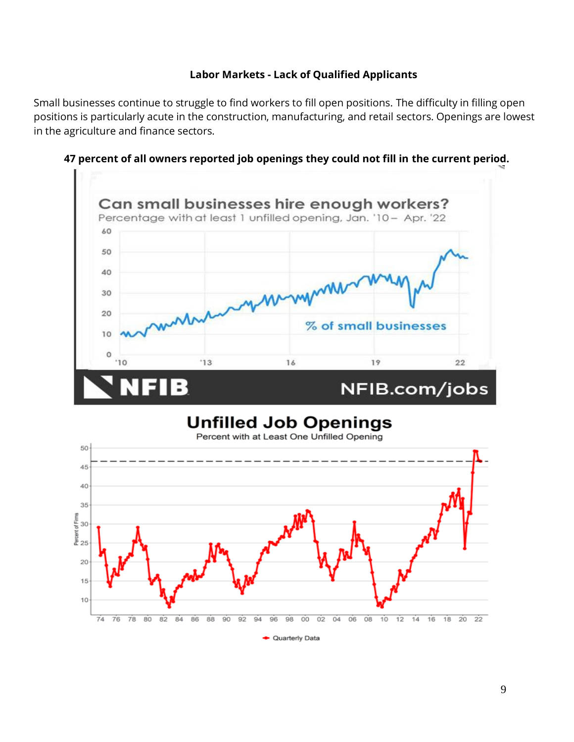#### **Labor Markets - Lack of Qualified Applicants**

Small businesses continue to struggle to find workers to fill open positions. The difficulty in filling open positions is particularly acute in the construction, manufacturing, and retail sectors. Openings are lowest in the agriculture and finance sectors.



**47 percent of all owners reported job openings they could not fill in the current period.**

# **Unfilled Job Openings**



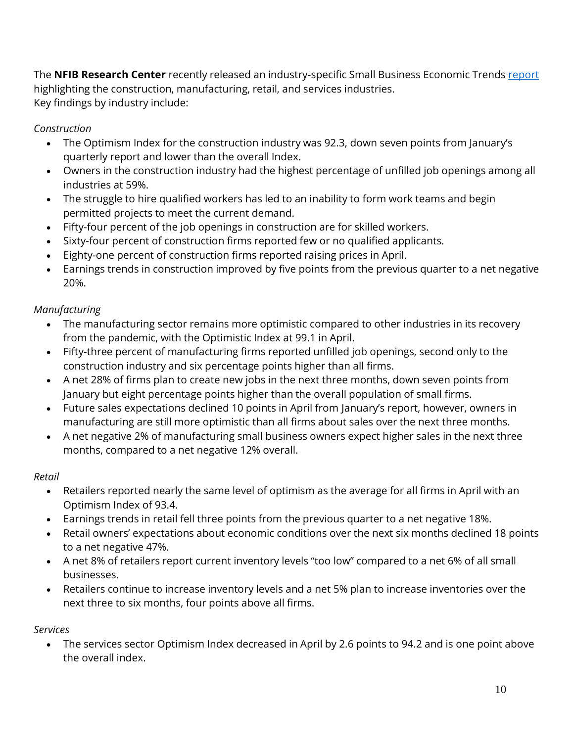The **NFIB Research Center** recently released an industry-specific Small Business Economic Trends [report](https://assets.nfib.com/nfibcom/April-Industry-Small-Business-Economic-Trends.pdf) highlighting the construction, manufacturing, retail, and services industries. Key findings by industry include:

# *Construction*

- The Optimism Index for the construction industry was 92.3, down seven points from January's quarterly report and lower than the overall Index.
- Owners in the construction industry had the highest percentage of unfilled job openings among all industries at 59%.
- The struggle to hire qualified workers has led to an inability to form work teams and begin permitted projects to meet the current demand.
- Fifty-four percent of the job openings in construction are for skilled workers.
- Sixty-four percent of construction firms reported few or no qualified applicants.
- Eighty-one percent of construction firms reported raising prices in April.
- Earnings trends in construction improved by five points from the previous quarter to a net negative 20%.

# *Manufacturing*

- The manufacturing sector remains more optimistic compared to other industries in its recovery from the pandemic, with the Optimistic Index at 99.1 in April.
- Fifty-three percent of manufacturing firms reported unfilled job openings, second only to the construction industry and six percentage points higher than all firms.
- A net 28% of firms plan to create new jobs in the next three months, down seven points from January but eight percentage points higher than the overall population of small firms.
- Future sales expectations declined 10 points in April from January's report, however, owners in manufacturing are still more optimistic than all firms about sales over the next three months.
- A net negative 2% of manufacturing small business owners expect higher sales in the next three months, compared to a net negative 12% overall.

# *Retail*

- Retailers reported nearly the same level of optimism as the average for all firms in April with an Optimism Index of 93.4.
- Earnings trends in retail fell three points from the previous quarter to a net negative 18%.
- Retail owners' expectations about economic conditions over the next six months declined 18 points to a net negative 47%.
- A net 8% of retailers report current inventory levels "too low" compared to a net 6% of all small businesses.
- Retailers continue to increase inventory levels and a net 5% plan to increase inventories over the next three to six months, four points above all firms.

# *Services*

• The services sector Optimism Index decreased in April by 2.6 points to 94.2 and is one point above the overall index.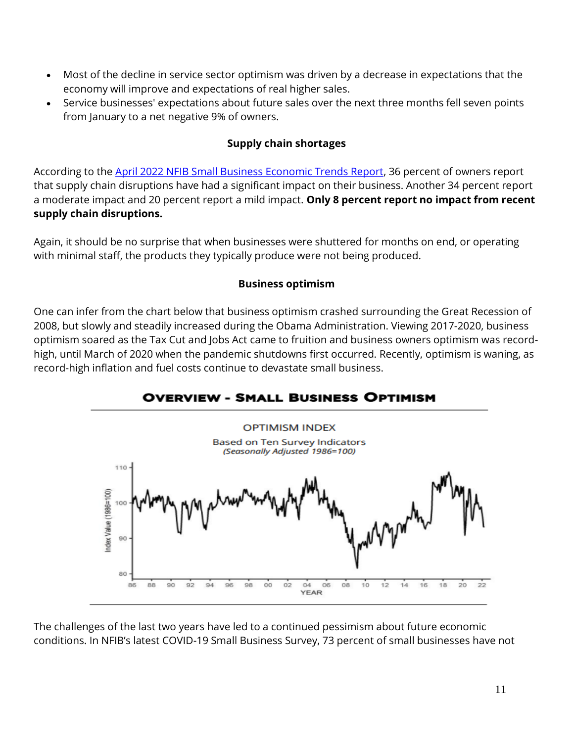- Most of the decline in service sector optimism was driven by a decrease in expectations that the economy will improve and expectations of real higher sales.
- Service businesses' expectations about future sales over the next three months fell seven points from January to a net negative 9% of owners.

#### **Supply chain shortages**

According to the April 2022 [NFIB Small Business Economic Trends Report,](https://assets.nfib.com/nfibcom/Final-SBET-Apr-2022.pdf) 36 percent of owners report that supply chain disruptions have had a significant impact on their business. Another 34 percent report a moderate impact and 20 percent report a mild impact. **Only 8 percent report no impact from recent supply chain disruptions.**

Again, it should be no surprise that when businesses were shuttered for months on end, or operating with minimal staff, the products they typically produce were not being produced.

#### **Business optimism**

One can infer from the chart below that business optimism crashed surrounding the Great Recession of 2008, but slowly and steadily increased during the Obama Administration. Viewing 2017-2020, business optimism soared as the Tax Cut and Jobs Act came to fruition and business owners optimism was recordhigh, until March of 2020 when the pandemic shutdowns first occurred. Recently, optimism is waning, as record-high inflation and fuel costs continue to devastate small business.

# **OVERVIEW - SMALL BUSINESS OPTIMISM**



The challenges of the last two years have led to a continued pessimism about future economic conditions. In NFIB's latest COVID-19 Small Business Survey, 73 percent of small businesses have not